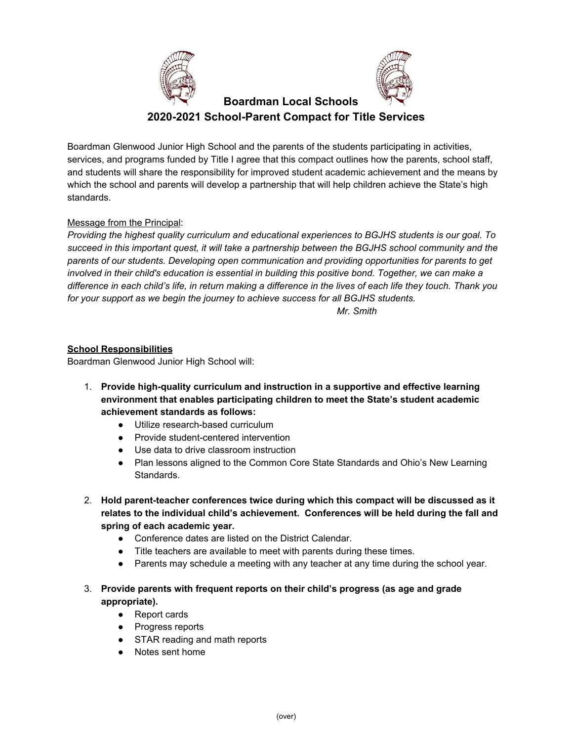



# **Boardman Local Schools 2020-2021 School-Parent Compact for Title Services**

Boardman Glenwood Junior High School and the parents of the students participating in activities, services, and programs funded by Title I agree that this compact outlines how the parents, school staff, and students will share the responsibility for improved student academic achievement and the means by which the school and parents will develop a partnership that will help children achieve the State's high standards.

# Message from the Principal:

*Providing the highest quality curriculum and educational experiences to BGJHS students is our goal. To succeed in this important quest, it will take a partnership between the BGJHS school community and the parents of our students. Developing open communication and providing opportunities for parents to get involved in their child's education is essential in building this positive bond. Together, we can make a* difference in each child's life, in return making a difference in the lives of each life they touch. Thank you *for your support as we begin the journey to achieve success for all BGJHS students.*

*Mr. Smith*

### **School Responsibilities**

Boardman Glenwood Junior High School will:

- 1. **Provide high-quality curriculum and instruction in a supportive and effective learning environment that enables participating children to meet the State's student academic achievement standards as follows:**
	- Utilize research-based curriculum
	- Provide student-centered intervention
	- Use data to drive classroom instruction
	- Plan lessons aligned to the Common Core State Standards and Ohio's New Learning Standards.
- 2. **Hold parent-teacher conferences twice during which this compact will be discussed as it relates to the individual child's achievement. Conferences will be held during the fall and spring of each academic year.**
	- Conference dates are listed on the District Calendar.
	- Title teachers are available to meet with parents during these times.
	- Parents may schedule a meeting with any teacher at any time during the school year.
- 3. **Provide parents with frequent reports on their child's progress (as age and grade appropriate).**
	- Report cards
	- Progress reports
	- STAR reading and math reports
	- Notes sent home